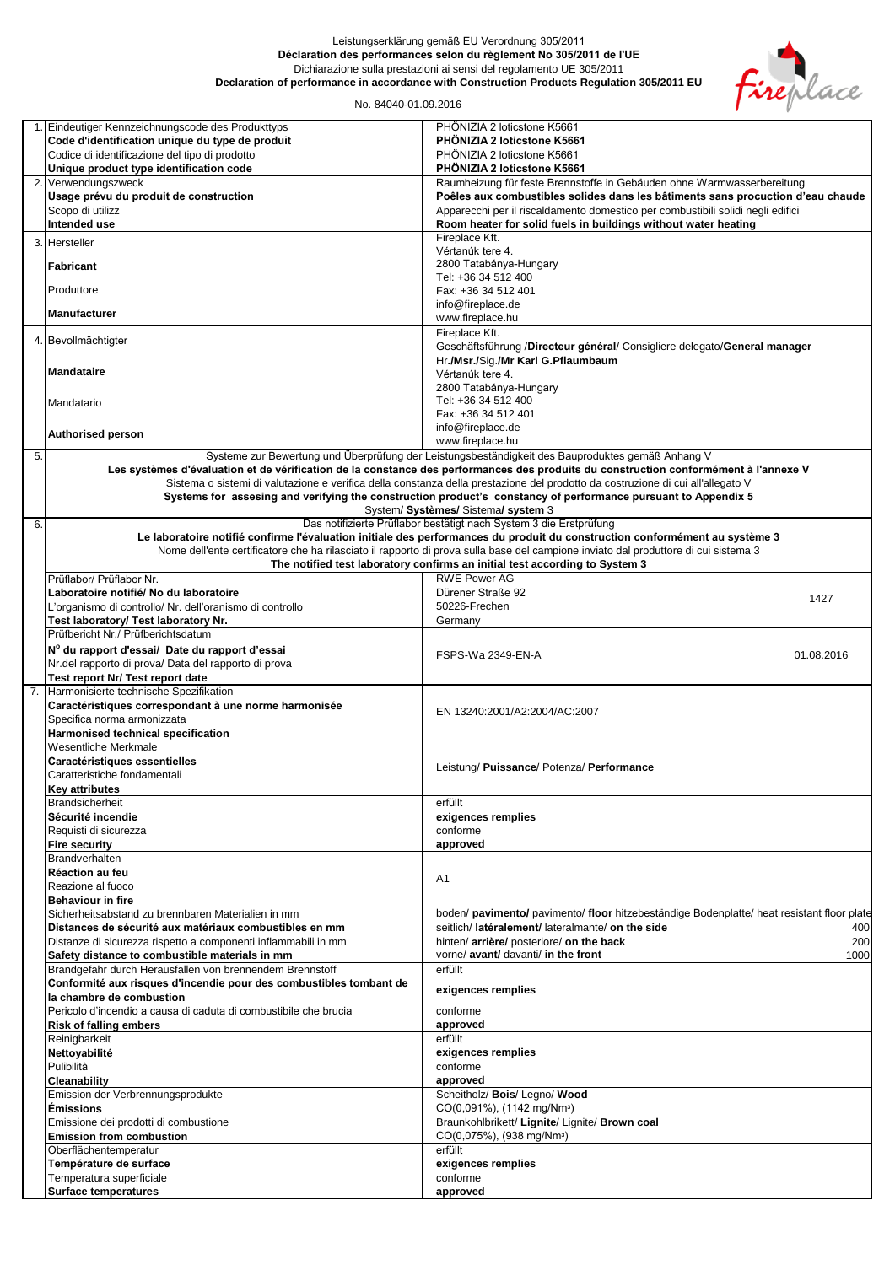## Leistungserklärung gemäß EU Verordnung 305/2011 **Déclaration des performances selon du règlement No 305/2011 de l'UE** Dichiarazione sulla prestazioni ai sensi del regolamento UE 305/2011 **Declaration of performance in accordance with Construction Products Regulation 305/2011 EU**



## No. 84040-01.09.2016

|    | 1. Eindeutiger Kennzeichnungscode des Produkttyps                  | PHÖNIZIA 2 loticstone K5661                                                                                                          |
|----|--------------------------------------------------------------------|--------------------------------------------------------------------------------------------------------------------------------------|
|    | Code d'identification unique du type de produit                    | PHÖNIZIA 2 loticstone K5661                                                                                                          |
|    | Codice di identificazione del tipo di prodotto                     | PHÖNIZIA 2 loticstone K5661                                                                                                          |
|    | Unique product type identification code                            | PHÖNIZIA 2 loticstone K5661                                                                                                          |
|    | 2. Verwendungszweck                                                | Raumheizung für feste Brennstoffe in Gebäuden ohne Warmwasserbereitung                                                               |
|    | Usage prévu du produit de construction                             | Poêles aux combustibles solides dans les bâtiments sans procuction d'eau chaude                                                      |
|    | Scopo di utilizz                                                   | Apparecchi per il riscaldamento domestico per combustibili solidi negli edifici                                                      |
|    |                                                                    |                                                                                                                                      |
|    | Intended use                                                       | Room heater for solid fuels in buildings without water heating                                                                       |
|    | 3. Hersteller                                                      | Fireplace Kft.                                                                                                                       |
|    |                                                                    | Vértanúk tere 4.                                                                                                                     |
|    | <b>Fabricant</b>                                                   | 2800 Tatabánya-Hungary                                                                                                               |
|    |                                                                    | Tel: +36 34 512 400                                                                                                                  |
|    | Produttore                                                         | Fax: +36 34 512 401                                                                                                                  |
|    |                                                                    | info@fireplace.de                                                                                                                    |
|    | <b>Manufacturer</b>                                                | www.fireplace.hu                                                                                                                     |
|    |                                                                    | Fireplace Kft.                                                                                                                       |
|    | 4. Bevollmächtigter                                                | Geschäftsführung /Directeur général/ Consigliere delegato/General manager                                                            |
|    |                                                                    | Hr./Msr./Sig./Mr Karl G.Pflaumbaum                                                                                                   |
|    | <b>Mandataire</b>                                                  | Vértanúk tere 4.                                                                                                                     |
|    |                                                                    | 2800 Tatabánya-Hungary                                                                                                               |
|    |                                                                    |                                                                                                                                      |
|    | Mandatario                                                         | Tel: +36 34 512 400                                                                                                                  |
|    |                                                                    | Fax: +36 34 512 401                                                                                                                  |
|    | <b>Authorised person</b>                                           | info@fireplace.de                                                                                                                    |
|    |                                                                    | www.fireplace.hu                                                                                                                     |
| 5. |                                                                    | Systeme zur Bewertung und Überprüfung der Leistungsbeständigkeit des Bauproduktes gemäß Anhang V                                     |
|    |                                                                    | Les systèmes d'évaluation et de vérification de la constance des performances des produits du construction conformément à l'annexe V |
|    |                                                                    | Sistema o sistemi di valutazione e verifica della constanza della prestazione del prodotto da costruzione di cui all'allegato V      |
|    |                                                                    | Systems for assesing and verifying the construction product's constancy of performance pursuant to Appendix 5                        |
|    |                                                                    | System/ Systèmes/ Sistema/ system 3                                                                                                  |
| 6. |                                                                    | Das notifizierte Prüflabor bestätigt nach System 3 die Erstprüfung                                                                   |
|    |                                                                    | Le laboratoire notifié confirme l'évaluation initiale des performances du produit du construction conformément au système 3          |
|    |                                                                    | Nome dell'ente certificatore che ha rilasciato il rapporto di prova sulla base del campione inviato dal produttore di cui sistema 3  |
|    |                                                                    | The notified test laboratory confirms an initial test according to System 3                                                          |
|    | Prüflabor/ Prüflabor Nr.                                           | <b>RWE Power AG</b>                                                                                                                  |
|    | Laboratoire notifié/ No du laboratoire                             | Dürener Straße 92                                                                                                                    |
|    |                                                                    | 1427                                                                                                                                 |
|    | L'organismo di controllo/ Nr. dell'oranismo di controllo           | 50226-Frechen                                                                                                                        |
|    | Test laboratory/ Test laboratory Nr.                               | Germany                                                                                                                              |
|    | Prüfbericht Nr./ Prüfberichtsdatum                                 |                                                                                                                                      |
|    | N° du rapport d'essai/ Date du rapport d'essai                     | FSPS-Wa 2349-EN-A<br>01.08.2016                                                                                                      |
|    | Nr.del rapporto di prova/ Data del rapporto di prova               |                                                                                                                                      |
|    | Test report Nr/ Test report date                                   |                                                                                                                                      |
|    | 7. Harmonisierte technische Spezifikation                          |                                                                                                                                      |
|    | Caractéristiques correspondant à une norme harmonisée              |                                                                                                                                      |
|    | Specifica norma armonizzata                                        | EN 13240:2001/A2:2004/AC:2007                                                                                                        |
|    |                                                                    |                                                                                                                                      |
|    | Harmonised technical specification<br>Wesentliche Merkmale         |                                                                                                                                      |
|    |                                                                    |                                                                                                                                      |
|    | Caractéristiques essentielles                                      | Leistung/ Puissance/ Potenza/ Performance                                                                                            |
|    | Caratteristiche fondamentali                                       |                                                                                                                                      |
|    | Key attributes                                                     |                                                                                                                                      |
|    | <b>Brandsicherheit</b>                                             | erfüllt                                                                                                                              |
|    | Sécurité incendie                                                  | exigences remplies                                                                                                                   |
|    | Requisti di sicurezza                                              | conforme                                                                                                                             |
|    | <b>Fire security</b>                                               | approved                                                                                                                             |
|    | Brandverhalten                                                     |                                                                                                                                      |
|    | Réaction au feu                                                    |                                                                                                                                      |
|    | Reazione al fuoco                                                  | A1                                                                                                                                   |
|    | <b>Behaviour in fire</b>                                           |                                                                                                                                      |
|    | Sicherheitsabstand zu brennbaren Materialien in mm                 | boden/ pavimento/ pavimento/ floor hitzebeständige Bodenplatte/ heat resistant floor plate                                           |
|    | Distances de sécurité aux matériaux combustibles en mm             | seitlich/ latéralement/ lateralmante/ on the side<br>400                                                                             |
|    | Distanze di sicurezza rispetto a componenti inflammabili in mm     | hinten/ arrière/ posteriore/ on the back<br>200                                                                                      |
|    |                                                                    | vorne/ avant/ davanti/ in the front                                                                                                  |
|    | Safety distance to combustible materials in mm                     | 1000                                                                                                                                 |
|    | Brandgefahr durch Herausfallen von brennendem Brennstoff           | erfüllt                                                                                                                              |
|    | Conformité aux risques d'incendie pour des combustibles tombant de | exigences remplies                                                                                                                   |
|    | la chambre de combustion                                           |                                                                                                                                      |
|    | Pericolo d'incendio a causa di caduta di combustibile che brucia   | conforme                                                                                                                             |
|    | <b>Risk of falling embers</b>                                      | approved                                                                                                                             |
|    | Reinigbarkeit                                                      | erfüllt                                                                                                                              |
|    | Nettoyabilité                                                      | exigences remplies                                                                                                                   |
|    | Pulibilità                                                         | conforme                                                                                                                             |
|    | Cleanability                                                       | approved                                                                                                                             |
|    | Emission der Verbrennungsprodukte                                  | Scheitholz/ Bois/ Legno/ Wood                                                                                                        |
|    | <b>Émissions</b>                                                   | CO(0,091%), (1142 mg/Nm <sup>3</sup> )                                                                                               |
|    |                                                                    |                                                                                                                                      |
|    | Emissione dei prodotti di combustione                              | Braunkohlbrikett/ Lignite/ Lignite/ Brown coal                                                                                       |
|    | <b>Emission from combustion</b>                                    | CO(0,075%), (938 mg/Nm <sup>3</sup> )                                                                                                |
|    | Oberflächentemperatur                                              | erfüllt                                                                                                                              |
|    | Température de surface                                             | exigences remplies                                                                                                                   |
|    | Temperatura superficiale                                           | conforme                                                                                                                             |
|    | <b>Surface temperatures</b>                                        | approved                                                                                                                             |
|    |                                                                    |                                                                                                                                      |